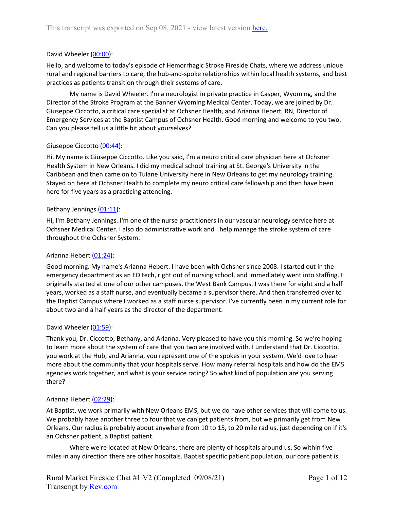# David Wheeler [\(00:00\)](https://www.rev.com/transcript-editor/Edit?token=ySS0lhcCMzfDosJ2XWcpWwafBY074L-46zIhdFOE92gmWSIljWae0NCVF_W5iHvvqyd_uhkfnng5nMDLGOa934aYXMo&loadFrom=DocumentDeeplink&ts=0):

Hello, and welcome to today's episode of Hemorrhagic Stroke Fireside Chats, where we address unique rural and regional barriers to care, the hub-and-spoke relationships within local health systems, and best practices as patients transition through their systems of care.

My name is David Wheeler. I'm a neurologist in private practice in Casper, Wyoming, and the Director of the Stroke Program at the Banner Wyoming Medical Center. Today, we are joined by Dr. Giuseppe Ciccotto, a critical care specialist at Ochsner Health, and Arianna Hebert, RN, Director of Emergency Services at the Baptist Campus of Ochsner Health. Good morning and welcome to you two. Can you please tell us a little bit about yourselves?

## Giuseppe Ciccotto [\(00:44\)](https://www.rev.com/transcript-editor/Edit?token=RCW3dXQUKVgRgkZbnJtxd0K4vyvp-c6kos3ZcCyIu8xEpJ0zOo80uM2oaARfvU0tG6gurN2x67UX446X443pl_cpNO8&loadFrom=DocumentDeeplink&ts=44.73):

Hi. My name is Giuseppe Ciccotto. Like you said, I'm a neuro critical care physician here at Ochsner Health System in New Orleans. I did my medical school training at St. George's University in the Caribbean and then came on to Tulane University here in New Orleans to get my neurology training. Stayed on here at Ochsner Health to complete my neuro critical care fellowship and then have been here for five years as a practicing attending.

### Bethany Jennings [\(01:11\)](https://www.rev.com/transcript-editor/Edit?token=OROdhZIASLH04TT-oDIfBAPXvzgsQtDGJhnUuD9M7nZW_Ou0J2TrW8rDCF0a6cyui5poD9WmAs8VoOVJQ7LUdK93bQs&loadFrom=DocumentDeeplink&ts=71.52):

Hi, I'm Bethany Jennings. I'm one of the nurse practitioners in our vascular neurology service here at Ochsner Medical Center. I also do administrative work and I help manage the stroke system of care throughout the Ochsner System.

### Arianna Hebert [\(01:24\)](https://www.rev.com/transcript-editor/Edit?token=oq5xDf9XlL8vLu15k-AJiTndDu6Agfk277pRk4A1vrA6PI0nmN5YGUnoO1eZuKAHx7pA0xYlOVKRLON4SNPkFMF4SnY&loadFrom=DocumentDeeplink&ts=84.89):

Good morning. My name's Arianna Hebert. I have been with Ochsner since 2008. I started out in the emergency department as an ED tech, right out of nursing school, and immediately went into staffing. I originally started at one of our other campuses, the West Bank Campus. I was there for eight and a half years, worked as a staff nurse, and eventually became a supervisor there. And then transferred over to the Baptist Campus where I worked as a staff nurse supervisor. I've currently been in my current role for about two and a half years as the director of the department.

## David Wheeler [\(01:59\)](https://www.rev.com/transcript-editor/Edit?token=2eLN_QcI-8y4UG4gF6vgwfdXSsrR2ICflgMStAknk4FvxfwREKb6c-s8DQXXEv6lKdjypItl3xqKL1wkPBmErHC0uHo&loadFrom=DocumentDeeplink&ts=119.95):

Thank you, Dr. Ciccotto, Bethany, and Arianna. Very pleased to have you this morning. So we're hoping to learn more about the system of care that you two are involved with. I understand that Dr. Ciccotto, you work at the Hub, and Arianna, you represent one of the spokes in your system. We'd love to hear more about the community that your hospitals serve. How many referral hospitals and how do the EMS agencies work together, and what is your service rating? So what kind of population are you serving there?

## Arianna Hebert [\(02:29\)](https://www.rev.com/transcript-editor/Edit?token=zpEX9xcDabh4y4zDQyvFF10PBqW9f3GlmOVi1FEfT9Cx0_WH1xYc63ZKWmufMRj54nrJdPOAjwessdLM5XAex8y-UxI&loadFrom=DocumentDeeplink&ts=149.15):

At Baptist, we work primarily with New Orleans EMS, but we do have other services that will come to us. We probably have another three to four that we can get patients from, but we primarily get from New Orleans. Our radius is probably about anywhere from 10 to 15, to 20 mile radius, just depending on if it's an Ochsner patient, a Baptist patient.

Where we're located at New Orleans, there are plenty of hospitals around us. So within five miles in any direction there are other hospitals. Baptist specific patient population, our core patient is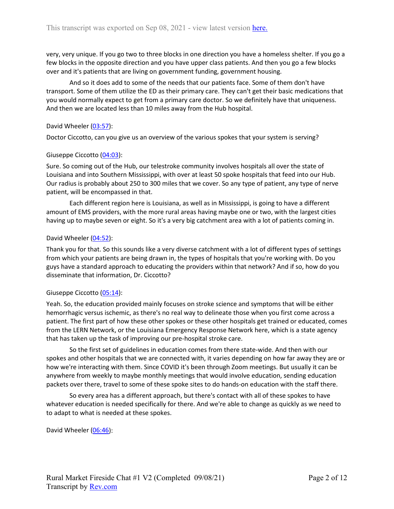very, very unique. If you go two to three blocks in one direction you have a homeless shelter. If you go a few blocks in the opposite direction and you have upper class patients. And then you go a few blocks over and it's patients that are living on government funding, government housing.

And so it does add to some of the needs that our patients face. Some of them don't have transport. Some of them utilize the ED as their primary care. They can't get their basic medications that you would normally expect to get from a primary care doctor. So we definitely have that uniqueness. And then we are located less than 10 miles away from the Hub hospital.

## David Wheeler [\(03:57\)](https://www.rev.com/transcript-editor/Edit?token=7MKJ8lTq3eyR87twqKHyqJ4uCnGJ-8djg3dVKPjAyLYGr4AtRJApbvby_LYmzzgnu6YlcDef5h5tfn74KQPDlUAOLqI&loadFrom=DocumentDeeplink&ts=237.32):

Doctor Ciccotto, can you give us an overview of the various spokes that your system is serving?

# Giuseppe Ciccotto [\(04:03\)](https://www.rev.com/transcript-editor/Edit?token=QGKhUvnNP8eb6QjQo3TW5fxCVB7ThvPgJlQ2ByeP7Awspe9R3LYDEFjn5qBk3nXFKYmxfnUnBLv98TuwZvCR0BxfCWI&loadFrom=DocumentDeeplink&ts=243.98):

Sure. So coming out of the Hub, our telestroke community involves hospitals all over the state of Louisiana and into Southern Mississippi, with over at least 50 spoke hospitals that feed into our Hub. Our radius is probably about 250 to 300 miles that we cover. So any type of patient, any type of nerve patient, will be encompassed in that.

Each different region here is Louisiana, as well as in Mississippi, is going to have a different amount of EMS providers, with the more rural areas having maybe one or two, with the largest cities having up to maybe seven or eight. So it's a very big catchment area with a lot of patients coming in.

# David Wheeler [\(04:52\)](https://www.rev.com/transcript-editor/Edit?token=JcY2fyOCsrhX0Jm2ATFSlT--iiN0Bdt8DuELlOARzFm6Wqd9RvthQyeqHhB3OmJGSIpVXOO6Z2a5lFIaCMlzC_BJCi0&loadFrom=DocumentDeeplink&ts=292.86):

Thank you for that. So this sounds like a very diverse catchment with a lot of different types of settings from which your patients are being drawn in, the types of hospitals that you're working with. Do you guys have a standard approach to educating the providers within that network? And if so, how do you disseminate that information, Dr. Ciccotto?

## Giuseppe Ciccotto [\(05:14\)](https://www.rev.com/transcript-editor/Edit?token=mQU7UYWFbjTm_JSJ_cbwidVelhGHObot9-bK54VqJt79abYQWQEBLa1VcL_Q3Hi6WcVEQ3XEQjJai-cjrq9gup8DXIk&loadFrom=DocumentDeeplink&ts=314.86):

Yeah. So, the education provided mainly focuses on stroke science and symptoms that will be either hemorrhagic versus ischemic, as there's no real way to delineate those when you first come across a patient. The first part of how these other spokes or these other hospitals get trained or educated, comes from the LERN Network, or the Louisiana Emergency Response Network here, which is a state agency that has taken up the task of improving our pre-hospital stroke care.

So the first set of guidelines in education comes from there state-wide. And then with our spokes and other hospitals that we are connected with, it varies depending on how far away they are or how we're interacting with them. Since COVID it's been through Zoom meetings. But usually it can be anywhere from weekly to maybe monthly meetings that would involve education, sending education packets over there, travel to some of these spoke sites to do hands-on education with the staff there.

So every area has a different approach, but there's contact with all of these spokes to have whatever education is needed specifically for there. And we're able to change as quickly as we need to to adapt to what is needed at these spokes.

David Wheeler [\(06:46\)](https://www.rev.com/transcript-editor/Edit?token=exs9HLUZHYauIh9XZJq8-Fcpi83DifmOHhOYvJW7gI6gr-Y5retwN9dDlaI0EMvsP1ztev1BrWQXV8WlVtbt8deFvGo&loadFrom=DocumentDeeplink&ts=406.32):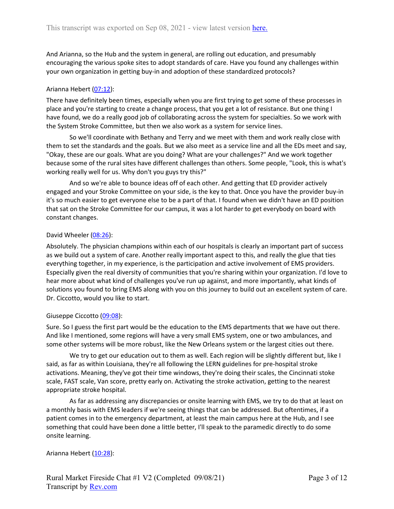And Arianna, so the Hub and the system in general, are rolling out education, and presumably encouraging the various spoke sites to adopt standards of care. Have you found any challenges within your own organization in getting buy-in and adoption of these standardized protocols?

## Arianna Hebert [\(07:12\)](https://www.rev.com/transcript-editor/Edit?token=Nyc90nG3rfx4uVT1ZvSdv9BHyYI0gC70gLa5eh8pS-aDCmKLyHAnv1_1tV_MoaQRW0hit4ilxy-M41xEyu4GmIb3GsI&loadFrom=DocumentDeeplink&ts=432.66):

There have definitely been times, especially when you are first trying to get some of these processes in place and you're starting to create a change process, that you get a lot of resistance. But one thing I have found, we do a really good job of collaborating across the system for specialties. So we work with the System Stroke Committee, but then we also work as a system for service lines.

So we'll coordinate with Bethany and Terry and we meet with them and work really close with them to set the standards and the goals. But we also meet as a service line and all the EDs meet and say, "Okay, these are our goals. What are you doing? What are your challenges?" And we work together because some of the rural sites have different challenges than others. Some people, "Look, this is what's working really well for us. Why don't you guys try this?"

And so we're able to bounce ideas off of each other. And getting that ED provider actively engaged and your Stroke Committee on your side, is the key to that. Once you have the provider buy-in it's so much easier to get everyone else to be a part of that. I found when we didn't have an ED position that sat on the Stroke Committee for our campus, it was a lot harder to get everybody on board with constant changes.

# David Wheeler [\(08:26\)](https://www.rev.com/transcript-editor/Edit?token=rGM518jQOG8ZWm8sZbhEX1wPwdGVQZP7AwhAzgwzNyvYWtD0iZSw1AeQeo1cwYz5j-TVcwG8FNrOfsKbJRMtrg3ST6Y&loadFrom=DocumentDeeplink&ts=506.86):

Absolutely. The physician champions within each of our hospitals is clearly an important part of success as we build out a system of care. Another really important aspect to this, and really the glue that ties everything together, in my experience, is the participation and active involvement of EMS providers. Especially given the real diversity of communities that you're sharing within your organization. I'd love to hear more about what kind of challenges you've run up against, and more importantly, what kinds of solutions you found to bring EMS along with you on this journey to build out an excellent system of care. Dr. Ciccotto, would you like to start.

## Giuseppe Ciccotto [\(09:08\)](https://www.rev.com/transcript-editor/Edit?token=SQ4g4wXfODCTWlLlA_2nig2pv47P9489LQsT1xleEdcxx2Qwc7ecWoSn0NvuCnmsHTzGYNL78fgDxoVj8hGdr4S4Wsc&loadFrom=DocumentDeeplink&ts=548.55):

Sure. So I guess the first part would be the education to the EMS departments that we have out there. And like I mentioned, some regions will have a very small EMS system, one or two ambulances, and some other systems will be more robust, like the New Orleans system or the largest cities out there.

We try to get our education out to them as well. Each region will be slightly different but, like I said, as far as within Louisiana, they're all following the LERN guidelines for pre-hospital stroke activations. Meaning, they've got their time windows, they're doing their scales, the Cincinnati stoke scale, FAST scale, Van score, pretty early on. Activating the stroke activation, getting to the nearest appropriate stroke hospital.

As far as addressing any discrepancies or onsite learning with EMS, we try to do that at least on a monthly basis with EMS leaders if we're seeing things that can be addressed. But oftentimes, if a patient comes in to the emergency department, at least the main campus here at the Hub, and I see something that could have been done a little better, I'll speak to the paramedic directly to do some onsite learning.

## Arianna Hebert [\(10:28\)](https://www.rev.com/transcript-editor/Edit?token=XULXNiuS285LKpFWTo3Ti-9RjA1rgkulI6-OG7wdbARcbS3xUzGx0Zve1ZCpRgIkdCsQueYiEaSMdU4Fpu1k9OYWfUE&loadFrom=DocumentDeeplink&ts=628.84):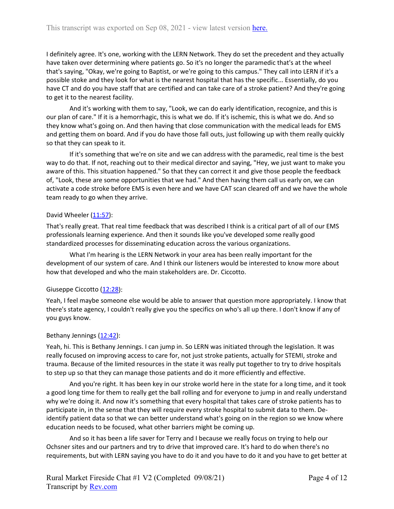I definitely agree. It's one, working with the LERN Network. They do set the precedent and they actually have taken over determining where patients go. So it's no longer the paramedic that's at the wheel that's saying, "Okay, we're going to Baptist, or we're going to this campus." They call into LERN if it's a possible stoke and they look for what is the nearest hospital that has the specific... Essentially, do you have CT and do you have staff that are certified and can take care of a stroke patient? And they're going to get it to the nearest facility.

And it's working with them to say, "Look, we can do early identification, recognize, and this is our plan of care." If it is a hemorrhagic, this is what we do. If it's ischemic, this is what we do. And so they know what's going on. And then having that close communication with the medical leads for EMS and getting them on board. And if you do have those fall outs, just following up with them really quickly so that they can speak to it.

If it's something that we're on site and we can address with the paramedic, real time is the best way to do that. If not, reaching out to their medical director and saying, "Hey, we just want to make you aware of this. This situation happened." So that they can correct it and give those people the feedback of, "Look, these are some opportunities that we had." And then having them call us early on, we can activate a code stroke before EMS is even here and we have CAT scan cleared off and we have the whole team ready to go when they arrive.

## David Wheeler  $(11:57)$ :

That's really great. That real time feedback that was described I think is a critical part of all of our EMS professionals learning experience. And then it sounds like you've developed some really good standardized processes for disseminating education across the various organizations.

What I'm hearing is the LERN Network in your area has been really important for the development of our system of care. And I think our listeners would be interested to know more about how that developed and who the main stakeholders are. Dr. Ciccotto.

## Giuseppe Ciccotto [\(12:28\)](https://www.rev.com/transcript-editor/Edit?token=7EkvigwaQCmEFBF3vIB86tURRU4g9rXUIN8XmSu9cO_uVgxbIywap-JffOj2lUV7D70l-b9pRmPfuhgK6vYVErbzf0U&loadFrom=DocumentDeeplink&ts=748.59):

Yeah, I feel maybe someone else would be able to answer that question more appropriately. I know that there's state agency, I couldn't really give you the specifics on who's all up there. I don't know if any of you guys know.

## Bethany Jennings  $(12:42)$ :

Yeah, hi. This is Bethany Jennings. I can jump in. So LERN was initiated through the legislation. It was really focused on improving access to care for, not just stroke patients, actually for STEMI, stroke and trauma. Because of the limited resources in the state it was really put together to try to drive hospitals to step up so that they can manage those patients and do it more efficiently and effective.

And you're right. It has been key in our stroke world here in the state for a long time, and it took a good long time for them to really get the ball rolling and for everyone to jump in and really understand why we're doing it. And now it's something that every hospital that takes care of stroke patients has to participate in, in the sense that they will require every stroke hospital to submit data to them. Deidentify patient data so that we can better understand what's going on in the region so we know where education needs to be focused, what other barriers might be coming up.

And so it has been a life saver for Terry and I because we really focus on trying to help our Ochsner sites and our partners and try to drive that improved care. It's hard to do when there's no requirements, but with LERN saying you have to do it and you have to do it and you have to get better at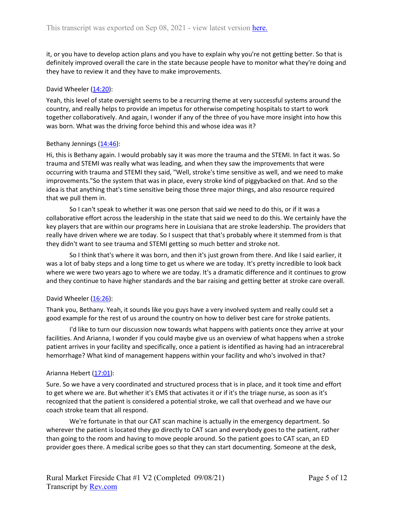it, or you have to develop action plans and you have to explain why you're not getting better. So that is definitely improved overall the care in the state because people have to monitor what they're doing and they have to review it and they have to make improvements.

## David Wheeler [\(14:20\)](https://www.rev.com/transcript-editor/Edit?token=FZWWl7AoWVn3DNst952ARrNopQRJeXirFLYtpXUFGLWcxmlOFDdWf_o3K-NFgP0R5sWM21wBkOpRieaFttAp6ni4g5c&loadFrom=DocumentDeeplink&ts=860.8):

Yeah, this level of state oversight seems to be a recurring theme at very successful systems around the country, and really helps to provide an impetus for otherwise competing hospitals to start to work together collaboratively. And again, I wonder if any of the three of you have more insight into how this was born. What was the driving force behind this and whose idea was it?

### Bethany Jennings  $(14:46)$ :

Hi, this is Bethany again. I would probably say it was more the trauma and the STEMI. In fact it was. So trauma and STEMI was really what was leading, and when they saw the improvements that were occurring with trauma and STEMI they said, "Well, stroke's time sensitive as well, and we need to make improvements."So the system that was in place, every stroke kind of piggybacked on that. And so the idea is that anything that's time sensitive being those three major things, and also resource required that we pull them in.

So I can't speak to whether it was one person that said we need to do this, or if it was a collaborative effort across the leadership in the state that said we need to do this. We certainly have the key players that are within our programs here in Louisiana that are stroke leadership. The providers that really have driven where we are today. So I suspect that that's probably where it stemmed from is that they didn't want to see trauma and STEMI getting so much better and stroke not.

So I think that's where it was born, and then it's just grown from there. And like I said earlier, it was a lot of baby steps and a long time to get us where we are today. It's pretty incredible to look back where we were two years ago to where we are today. It's a dramatic difference and it continues to grow and they continue to have higher standards and the bar raising and getting better at stroke care overall.

## David Wheeler  $(16:26)$ :

Thank you, Bethany. Yeah, it sounds like you guys have a very involved system and really could set a good example for the rest of us around the country on how to deliver best care for stroke patients.

I'd like to turn our discussion now towards what happens with patients once they arrive at your facilities. And Arianna, I wonder if you could maybe give us an overview of what happens when a stroke patient arrives in your facility and specifically, once a patient is identified as having had an intracerebral hemorrhage? What kind of management happens within your facility and who's involved in that?

## Arianna Hebert [\(17:01\)](https://www.rev.com/transcript-editor/Edit?token=lInfOZ_ui61fAgVf8EDTR5RBG5JadH2zk4FDlT8S1tcLuNoU92IBJbgdgcI9ImjpU81YOHoLJY6c6eedjMUFFG3pC2Y&loadFrom=DocumentDeeplink&ts=1021.62):

Sure. So we have a very coordinated and structured process that is in place, and it took time and effort to get where we are. But whether it's EMS that activates it or if it's the triage nurse, as soon as it's recognized that the patient is considered a potential stroke, we call that overhead and we have our coach stroke team that all respond.

We're fortunate in that our CAT scan machine is actually in the emergency department. So wherever the patient is located they go directly to CAT scan and everybody goes to the patient, rather than going to the room and having to move people around. So the patient goes to CAT scan, an ED provider goes there. A medical scribe goes so that they can start documenting. Someone at the desk,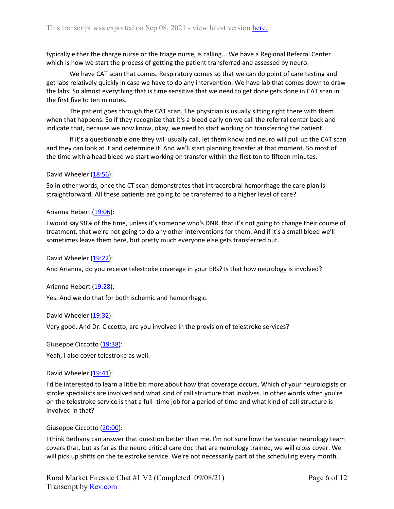typically either the charge nurse or the triage nurse, is calling... We have a Regional Referral Center which is how we start the process of getting the patient transferred and assessed by neuro.

We have CAT scan that comes. Respiratory comes so that we can do point of care testing and get labs relatively quickly in case we have to do any intervention. We have lab that comes down to draw the labs. So almost everything that is time sensitive that we need to get done gets done in CAT scan in the first five to ten minutes.

The patient goes through the CAT scan. The physician is usually sitting right there with them when that happens. So if they recognize that it's a bleed early on we call the referral center back and indicate that, because we now know, okay, we need to start working on transferring the patient.

If it's a questionable one they will usually call, let them know and neuro will pull up the CAT scan and they can look at it and determine it. And we'll start planning transfer at that moment. So most of the time with a head bleed we start working on transfer within the first ten to fifteen minutes.

## David Wheeler [\(18:56\)](https://www.rev.com/transcript-editor/Edit?token=Rhi_4_OJTUs_Gciggt6wE1IjzTpbkGOHUQv0yGQdQEOrikDdjxlasaL-UoITINHvdurLeoKLbKdtmw7dUGSkIm65Knk&loadFrom=DocumentDeeplink&ts=1136.82):

So in other words, once the CT scan demonstrates that intracerebral hemorrhage the care plan is straightforward. All these patients are going to be transferred to a higher level of care?

### Arianna Hebert [\(19:06\)](https://www.rev.com/transcript-editor/Edit?token=RlTf0MOakU16Sxh7e6mBIJxLKm-8XrhnGSn4OVjmFtdv-uHVYqLArnA90xJ-fYTHyCj-K77lB7U_r_5WsFvO3x0xbVI&loadFrom=DocumentDeeplink&ts=1146.86):

I would say 98% of the time, unless it's someone who's DNR, that it's not going to change their course of treatment, that we're not going to do any other interventions for them. And if it's a small bleed we'll sometimes leave them here, but pretty much everyone else gets transferred out.

David Wheeler [\(19:22\)](https://www.rev.com/transcript-editor/Edit?token=6YANct8IiFEY3VGLcmQ5r2pR4MGtjrp-8Elq2-P3QsmhVn6pgbyfoCYa73GVjE-ehiOlqRupP4cu7Efngo7cO94f69Q&loadFrom=DocumentDeeplink&ts=1162.41):

And Arianna, do you receive telestroke coverage in your ERs? Is that how neurology is involved?

Arianna Hebert [\(19:28\)](https://www.rev.com/transcript-editor/Edit?token=aX3hMtdNlqVUsGwx8AREWcUCcArNcT9PymGTKOdW-qprlcXKzzBcddQZ5HcGGqTSriMrcNXGRuLwfYeyrQAUz_VJwMo&loadFrom=DocumentDeeplink&ts=1168.62):

Yes. And we do that for both ischemic and hemorrhagic.

David Wheeler [\(19:32\)](https://www.rev.com/transcript-editor/Edit?token=G4ck6LgdRYnSCgv-pyT3x-uXUtkGRN8bqkBxXKIaviEMtHINB8uNwiTrGpm6xW1osHkl9m4OjWIIL4wqk0fiA9DluRI&loadFrom=DocumentDeeplink&ts=1172.5):

Very good. And Dr. Ciccotto, are you involved in the provision of telestroke services?

Giuseppe Ciccotto [\(19:38\)](https://www.rev.com/transcript-editor/Edit?token=C-V3OJbcW-cft7dQKFtpG7t__AYK0nDtaPDwfII6PDLwxF-agHqmy1eCE3GBdf5eED_NEhgUNa6QE1AEcJiT5SFQ2YM&loadFrom=DocumentDeeplink&ts=1178.14):

Yeah, I also cover telestroke as well.

David Wheeler [\(19:41\)](https://www.rev.com/transcript-editor/Edit?token=trk1r9FIZJRsHgelWNCNicMPxeANcpXhAQHbHgn1vWYRvDuoxuhiwIRrLYnKVu4Jfx2UBRLSEqeSIRc2WLoUyCvz6G8&loadFrom=DocumentDeeplink&ts=1181.32):

I'd be interested to learn a little bit more about how that coverage occurs. Which of your neurologists or stroke specialists are involved and what kind of call structure that involves. In other words when you're on the telestroke service is that a full- time job for a period of time and what kind of call structure is involved in that?

## Giuseppe Ciccotto [\(20:00\)](https://www.rev.com/transcript-editor/Edit?token=lz9ePblCkAlDWNTrskIH0BJyXikom-_9s9aEFdJGOq2LAuyfVsCGIkmtYaX7K6KFbuSq0N_v8JbAkShK8ioN1cTNU6Y&loadFrom=DocumentDeeplink&ts=1200.99):

I think Bethany can answer that question better than me. I'm not sure how the vascular neurology team covers that, but as far as the neuro critical care doc that are neurology trained, we will cross cover. We will pick up shifts on the telestroke service. We're not necessarily part of the scheduling every month.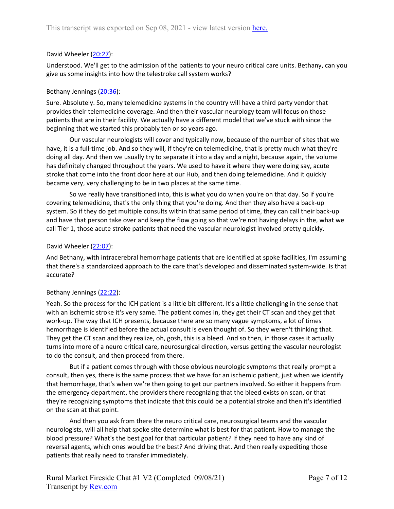## David Wheeler [\(20:27\)](https://www.rev.com/transcript-editor/Edit?token=zFgby26fL_AkawVri5BzsK7mFGn2FAqxY3fmf2azMZy4VhdN_ufx_7lZm-LFLYoEpvDBBfy5d8eH0CDA_iKZl7oWHw4&loadFrom=DocumentDeeplink&ts=1227.36):

Understood. We'll get to the admission of the patients to your neuro critical care units. Bethany, can you give us some insights into how the telestroke call system works?

## Bethany Jennings [\(20:36\)](https://www.rev.com/transcript-editor/Edit?token=cKE4gVtr2k0qOpGrIFYZrg45WrlPqS2YORhY6Hx31pgvfwkgNVCsNRHrq4dpS3mf0bxWxQk9l8lNkO-wetMI5r0aHiY&loadFrom=DocumentDeeplink&ts=1236.57):

Sure. Absolutely. So, many telemedicine systems in the country will have a third party vendor that provides their telemedicine coverage. And then their vascular neurology team will focus on those patients that are in their facility. We actually have a different model that we've stuck with since the beginning that we started this probably ten or so years ago.

Our vascular neurologists will cover and typically now, because of the number of sites that we have, it is a full-time job. And so they will, if they're on telemedicine, that is pretty much what they're doing all day. And then we usually try to separate it into a day and a night, because again, the volume has definitely changed throughout the years. We used to have it where they were doing say, acute stroke that come into the front door here at our Hub, and then doing telemedicine. And it quickly became very, very challenging to be in two places at the same time.

So we really have transitioned into, this is what you do when you're on that day. So if you're covering telemedicine, that's the only thing that you're doing. And then they also have a back-up system. So if they do get multiple consults within that same period of time, they can call their back-up and have that person take over and keep the flow going so that we're not having delays in the, what we call Tier 1, those acute stroke patients that need the vascular neurologist involved pretty quickly.

### David Wheeler [\(22:07\)](https://www.rev.com/transcript-editor/Edit?token=lu6sHXWutPJYOwMpGI5bob2jguhy99X3LFGaVEB0o7NKsEHHKGDkV4LjtB4GnaHaPgAvkIJ1mv0XVDPCZg-bDwfqpDY&loadFrom=DocumentDeeplink&ts=1327.89):

And Bethany, with intracerebral hemorrhage patients that are identified at spoke facilities, I'm assuming that there's a standardized approach to the care that's developed and disseminated system-wide. Is that accurate?

## Bethany Jennings [\(22:22\)](https://www.rev.com/transcript-editor/Edit?token=aN4-AE0RxwsybAshV2IvNP8ZbX7GYUPaXVO-qgx3DsGRBDzfO2d9JM89WNvPX2kK1X97YrzA5ZTakwzImfhEjQMEyLM&loadFrom=DocumentDeeplink&ts=1342.47):

Yeah. So the process for the ICH patient is a little bit different. It's a little challenging in the sense that with an ischemic stroke it's very same. The patient comes in, they get their CT scan and they get that work-up. The way that ICH presents, because there are so many vague symptoms, a lot of times hemorrhage is identified before the actual consult is even thought of. So they weren't thinking that. They get the CT scan and they realize, oh, gosh, this is a bleed. And so then, in those cases it actually turns into more of a neuro critical care, neurosurgical direction, versus getting the vascular neurologist to do the consult, and then proceed from there.

But if a patient comes through with those obvious neurologic symptoms that really prompt a consult, then yes, there is the same process that we have for an ischemic patient, just when we identify that hemorrhage, that's when we're then going to get our partners involved. So either it happens from the emergency department, the providers there recognizing that the bleed exists on scan, or that they're recognizing symptoms that indicate that this could be a potential stroke and then it's identified on the scan at that point.

And then you ask from there the neuro critical care, neurosurgical teams and the vascular neurologists, will all help that spoke site determine what is best for that patient. How to manage the blood pressure? What's the best goal for that particular patient? If they need to have any kind of reversal agents, which ones would be the best? And driving that. And then really expediting those patients that really need to transfer immediately.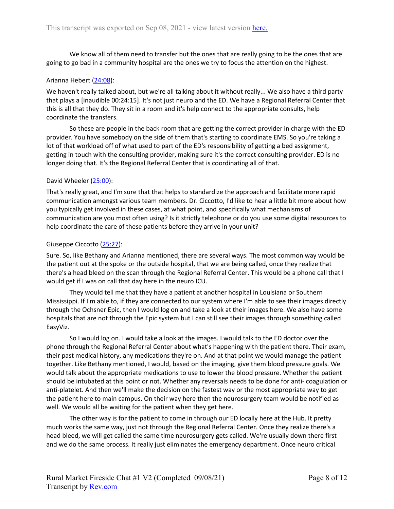We know all of them need to transfer but the ones that are really going to be the ones that are going to go bad in a community hospital are the ones we try to focus the attention on the highest.

## Arianna Hebert [\(24:08\)](https://www.rev.com/transcript-editor/Edit?token=ab2Qtq6n6p_IkRJMmxqhsAO3fPAXIrVhhOUoQ_j9sijdFTurkGpY1_hapShEycHUQLLdB82Q8LW9EBcJ__VRo3e3yGE&loadFrom=DocumentDeeplink&ts=1448.09):

We haven't really talked about, but we're all talking about it without really... We also have a third party that plays a [inaudible 00:24:15]. It's not just neuro and the ED. We have a Regional Referral Center that this is all that they do. They sit in a room and it's help connect to the appropriate consults, help coordinate the transfers.

So these are people in the back room that are getting the correct provider in charge with the ED provider. You have somebody on the side of them that's starting to coordinate EMS. So you're taking a lot of that workload off of what used to part of the ED's responsibility of getting a bed assignment, getting in touch with the consulting provider, making sure it's the correct consulting provider. ED is no longer doing that. It's the Regional Referral Center that is coordinating all of that.

## David Wheeler [\(25:00\)](https://www.rev.com/transcript-editor/Edit?token=9C_35FodpIxYtIVARysVWCBKuMY6NxwFuv6RFYrJOyy7m9KfBM4JBiFkxzAIu4iKMSQyeN0IPuWx0OyGi_v-ynhQEmQ&loadFrom=DocumentDeeplink&ts=1500.38):

That's really great, and I'm sure that that helps to standardize the approach and facilitate more rapid communication amongst various team members. Dr. Ciccotto, I'd like to hear a little bit more about how you typically get involved in these cases, at what point, and specifically what mechanisms of communication are you most often using? Is it strictly telephone or do you use some digital resources to help coordinate the care of these patients before they arrive in your unit?

# Giuseppe Ciccotto [\(25:27\)](https://www.rev.com/transcript-editor/Edit?token=KdaTt6-KxvcWzS5Ym80AKa2FFXqqmdrUYXrhYi6km_RDk7nZOawjNF_PpEUOo8TecedmPLpGN0RyA7gryJmIcr9ZbFk&loadFrom=DocumentDeeplink&ts=1527.34):

Sure. So, like Bethany and Arianna mentioned, there are several ways. The most common way would be the patient out at the spoke or the outside hospital, that we are being called, once they realize that there's a head bleed on the scan through the Regional Referral Center. This would be a phone call that I would get if I was on call that day here in the neuro ICU.

They would tell me that they have a patient at another hospital in Louisiana or Southern Mississippi. If I'm able to, if they are connected to our system where I'm able to see their images directly through the Ochsner Epic, then I would log on and take a look at their images here. We also have some hospitals that are not through the Epic system but I can still see their images through something called EasyViz.

So I would log on. I would take a look at the images. I would talk to the ED doctor over the phone through the Regional Referral Center about what's happening with the patient there. Their exam, their past medical history, any medications they're on. And at that point we would manage the patient together. Like Bethany mentioned, I would, based on the imaging, give them blood pressure goals. We would talk about the appropriate medications to use to lower the blood pressure. Whether the patient should be intubated at this point or not. Whether any reversals needs to be done for anti- coagulation or anti-platelet. And then we'll make the decision on the fastest way or the most appropriate way to get the patient here to main campus. On their way here then the neurosurgery team would be notified as well. We would all be waiting for the patient when they get here.

The other way is for the patient to come in through our ED locally here at the Hub. It pretty much works the same way, just not through the Regional Referral Center. Once they realize there's a head bleed, we will get called the same time neurosurgery gets called. We're usually down there first and we do the same process. It really just eliminates the emergency department. Once neuro critical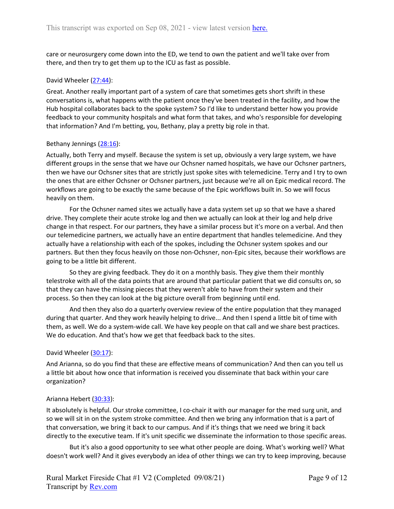care or neurosurgery come down into the ED, we tend to own the patient and we'll take over from there, and then try to get them up to the ICU as fast as possible.

### David Wheeler [\(27:44\)](https://www.rev.com/transcript-editor/Edit?token=RpZ5EU-8HZ5pQ5-i_qz4r1hW_q5bY3wYEZf6uaZVNnFBBuuG5D2_TbReVntha1ms0bCaJJkReHHgsuZlqsEUBfCq5qc&loadFrom=DocumentDeeplink&ts=1664.47):

Great. Another really important part of a system of care that sometimes gets short shrift in these conversations is, what happens with the patient once they've been treated in the facility, and how the Hub hospital collaborates back to the spoke system? So I'd like to understand better how you provide feedback to your community hospitals and what form that takes, and who's responsible for developing that information? And I'm betting, you, Bethany, play a pretty big role in that.

### Bethany Jennings [\(28:16\)](https://www.rev.com/transcript-editor/Edit?token=EzOEoqgiGTxem1-km9LmuB7xnNU_X3c4kdvi4s8YjTeBd792SYQ6DBkvNOjPaU-E0PjcOe7boHe85rPOvG8Ls5zsEUc&loadFrom=DocumentDeeplink&ts=1696.79):

Actually, both Terry and myself. Because the system is set up, obviously a very large system, we have different groups in the sense that we have our Ochsner named hospitals, we have our Ochsner partners, then we have our Ochsner sites that are strictly just spoke sites with telemedicine. Terry and I try to own the ones that are either Ochsner or Ochsner partners, just because we're all on Epic medical record. The workflows are going to be exactly the same because of the Epic workflows built in. So we will focus heavily on them.

For the Ochsner named sites we actually have a data system set up so that we have a shared drive. They complete their acute stroke log and then we actually can look at their log and help drive change in that respect. For our partners, they have a similar process but it's more on a verbal. And then our telemedicine partners, we actually have an entire department that handles telemedicine. And they actually have a relationship with each of the spokes, including the Ochsner system spokes and our partners. But then they focus heavily on those non-Ochsner, non-Epic sites, because their workflows are going to be a little bit different.

So they are giving feedback. They do it on a monthly basis. They give them their monthly telestroke with all of the data points that are around that particular patient that we did consults on, so that they can have the missing pieces that they weren't able to have from their system and their process. So then they can look at the big picture overall from beginning until end.

And then they also do a quarterly overview review of the entire population that they managed during that quarter. And they work heavily helping to drive... And then I spend a little bit of time with them, as well. We do a system-wide call. We have key people on that call and we share best practices. We do education. And that's how we get that feedback back to the sites.

## David Wheeler [\(30:17\)](https://www.rev.com/transcript-editor/Edit?token=3c9wwPGhn-Ni5y-xsSRtzbtFvl6X-cu0eJB-mpr6jrEXgTqT0WZecpYAQjVqAyagJX22kjnRZUtGgYEaXoyv0iQmWsA&loadFrom=DocumentDeeplink&ts=1817.72):

And Arianna, so do you find that these are effective means of communication? And then can you tell us a little bit about how once that information is received you disseminate that back within your care organization?

#### Arianna Hebert [\(30:33\)](https://www.rev.com/transcript-editor/Edit?token=rIT9lkFafH3KBvmVMhFFkuVX8qoxn6y7w8w9leMWsS133al1QzjsqvQtpwYunNgE8TvSLZK_bFQ-_j3xW81LlWCvf4k&loadFrom=DocumentDeeplink&ts=1833.05):

It absolutely is helpful. Our stroke committee, I co-chair it with our manager for the med surg unit, and so we will sit in on the system stroke committee. And then we bring any information that is a part of that conversation, we bring it back to our campus. And if it's things that we need we bring it back directly to the executive team. If it's unit specific we disseminate the information to those specific areas.

But it's also a good opportunity to see what other people are doing. What's working well? What doesn't work well? And it gives everybody an idea of other things we can try to keep improving, because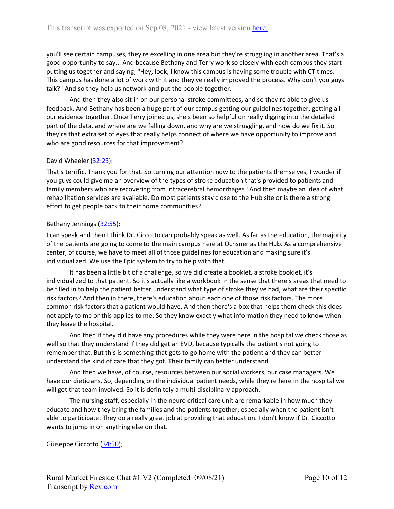you'll see certain campuses, they're excelling in one area but they're struggling in another area. That's a good opportunity to say... And because Bethany and Terry work so closely with each campus they start putting us together and saying, "Hey, look, I know this campus is having some trouble with CT times. This campus has done a lot of work with it and they've really improved the process. Why don't you guys talk?" And so they help us network and put the people together.

And then they also sit in on our personal stroke committees, and so they're able to give us feedback. And Bethany has been a huge part of our campus getting our guidelines together, getting all our evidence together. Once Terry joined us, she's been so helpful on really digging into the detailed part of the data, and where are we falling down, and why are we struggling, and how do we fix it. So they're that extra set of eyes that really helps connect of where we have opportunity to improve and who are good resources for that improvement?

# David Wheeler [\(32:23\)](https://www.rev.com/transcript-editor/Edit?token=V4-OoylQHDM81d5_v9NHxrfGv6rgQ8803iFOq430xomXfNmDs2blankf-cnh0f95_p-dv-6I4ARu57vlbbLE6H-ApCI&loadFrom=DocumentDeeplink&ts=1943.55):

That's terrific. Thank you for that. So turning our attention now to the patients themselves, I wonder if you guys could give me an overview of the types of stroke education that's provided to patients and family members who are recovering from intracerebral hemorrhages? And then maybe an idea of what rehabilitation services are available. Do most patients stay close to the Hub site or is there a strong effort to get people back to their home communities?

## Bethany Jennings [\(32:55\)](https://www.rev.com/transcript-editor/Edit?token=dWwJh6dKpF-dpuBhqjIzWy1rx5tM0_5OiQbeuDWmjqnjmECh5q8kLFtlgUFwU6iBsL0zVN0XqhVOl7ToW2w0UXV2e4o&loadFrom=DocumentDeeplink&ts=1975.11):

I can speak and then I think Dr. Ciccotto can probably speak as well. As far as the education, the majority of the patients are going to come to the main campus here at Ochsner as the Hub. As a comprehensive center, of course, we have to meet all of those guidelines for education and making sure it's individualized. We use the Epic system to try to help with that.

It has been a little bit of a challenge, so we did create a booklet, a stroke booklet, it's individualized to that patient. So it's actually like a workbook in the sense that there's areas that need to be filled in to help the patient better understand what type of stroke they've had, what are their specific risk factors? And then in there, there's education about each one of those risk factors. The more common risk factors that a patient would have. And then there's a box that helps them check this does not apply to me or this applies to me. So they know exactly what information they need to know when they leave the hospital.

And then if they did have any procedures while they were here in the hospital we check those as well so that they understand if they did get an EVD, because typically the patient's not going to remember that. But this is something that gets to go home with the patient and they can better understand the kind of care that they got. Their family can better understand.

And then we have, of course, resources between our social workers, our case managers. We have our dieticians. So, depending on the individual patient needs, while they're here in the hospital we will get that team involved. So it is definitely a multi-disciplinary approach.

The nursing staff, especially in the neuro critical care unit are remarkable in how much they educate and how they bring the families and the patients together, especially when the patient isn't able to participate. They do a really great job at providing that education. I don't know if Dr. Ciccotto wants to jump in on anything else on that.

Giuseppe Ciccotto [\(34:50\)](https://www.rev.com/transcript-editor/Edit?token=UEouPQ9BUSNptHbVHps9TIZCfgE8B_PXH0q7grcjvelCfxkGw3tEZTPGRhvGZGHtdQ9tl2IqDVbME_UprEvtAulc3M4&loadFrom=DocumentDeeplink&ts=2090.47):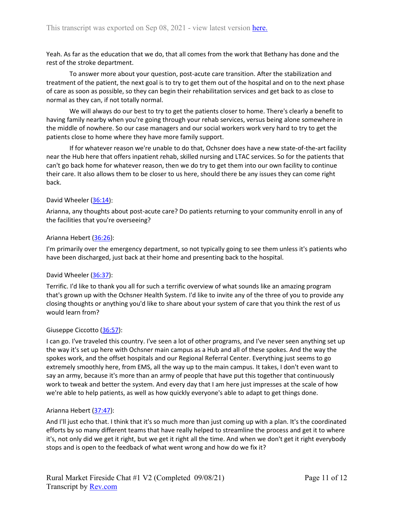Yeah. As far as the education that we do, that all comes from the work that Bethany has done and the rest of the stroke department.

To answer more about your question, post-acute care transition. After the stabilization and treatment of the patient, the next goal is to try to get them out of the hospital and on to the next phase of care as soon as possible, so they can begin their rehabilitation services and get back to as close to normal as they can, if not totally normal.

We will always do our best to try to get the patients closer to home. There's clearly a benefit to having family nearby when you're going through your rehab services, versus being alone somewhere in the middle of nowhere. So our case managers and our social workers work very hard to try to get the patients close to home where they have more family support.

If for whatever reason we're unable to do that, Ochsner does have a new state-of-the-art facility near the Hub here that offers inpatient rehab, skilled nursing and LTAC services. So for the patients that can't go back home for whatever reason, then we do try to get them into our own facility to continue their care. It also allows them to be closer to us here, should there be any issues they can come right back.

## David Wheeler [\(36:14\)](https://www.rev.com/transcript-editor/Edit?token=ypk4xG37bBccr7ME91_kS8bpumt1YzYOTef9LVtW9WeE5U6It0vlR5rD_pFKwUXTJT1PRo3NKD2niSBW6ZdluNRRBLU&loadFrom=DocumentDeeplink&ts=2174.87):

Arianna, any thoughts about post-acute care? Do patients returning to your community enroll in any of the facilities that you're overseeing?

### Arianna Hebert [\(36:26\)](https://www.rev.com/transcript-editor/Edit?token=tbFk6T6rhGJOw2gSZu-L97bE-jfWQBdssE0K0aYSd2d9uZVur32jgXz-VRcDiDsYMw7gUEh0B1NSZJ1yARvdsF_Z3IM&loadFrom=DocumentDeeplink&ts=2186.7):

I'm primarily over the emergency department, so not typically going to see them unless it's patients who have been discharged, just back at their home and presenting back to the hospital.

#### David Wheeler [\(36:37\)](https://www.rev.com/transcript-editor/Edit?token=nIlMvnfvckA4iX9dulmBm0JMOexYEHrUX3MkN-eLOAz8oM_40-15ylPBJZbPZ4HbpxtAuN6l6f8r1sW6C5Rg6RKLu2s&loadFrom=DocumentDeeplink&ts=2197.93):

Terrific. I'd like to thank you all for such a terrific overview of what sounds like an amazing program that's grown up with the Ochsner Health System. I'd like to invite any of the three of you to provide any closing thoughts or anything you'd like to share about your system of care that you think the rest of us would learn from?

### Giuseppe Ciccotto [\(36:57\)](https://www.rev.com/transcript-editor/Edit?token=aZ62hgg1bYhnSgmpaNJaNzQ4oOTjp04uk3ABz7sPfotjVXBjF3b1RFY5tURQZOwUf753bx3DTvjqxOjHPdA4SSfGtGE&loadFrom=DocumentDeeplink&ts=2217.04):

I can go. I've traveled this country. I've seen a lot of other programs, and I've never seen anything set up the way it's set up here with Ochsner main campus as a Hub and all of these spokes. And the way the spokes work, and the offset hospitals and our Regional Referral Center. Everything just seems to go extremely smoothly here, from EMS, all the way up to the main campus. It takes, I don't even want to say an army, because it's more than an army of people that have put this together that continuously work to tweak and better the system. And every day that I am here just impresses at the scale of how we're able to help patients, as well as how quickly everyone's able to adapt to get things done.

#### Arianna Hebert [\(37:47\)](https://www.rev.com/transcript-editor/Edit?token=Ehj6IcEXqTxO9Z87lthhrSdhMjuSHrTy0ufuHK5KEtaxbBc9AzhiNA2yaZwq06_5sUrvLt1tQ79PZ4kBlUdEalkGNEU&loadFrom=DocumentDeeplink&ts=2267.34):

And I'll just echo that. I think that it's so much more than just coming up with a plan. It's the coordinated efforts by so many different teams that have really helped to streamline the process and get it to where it's, not only did we get it right, but we get it right all the time. And when we don't get it right everybody stops and is open to the feedback of what went wrong and how do we fix it?